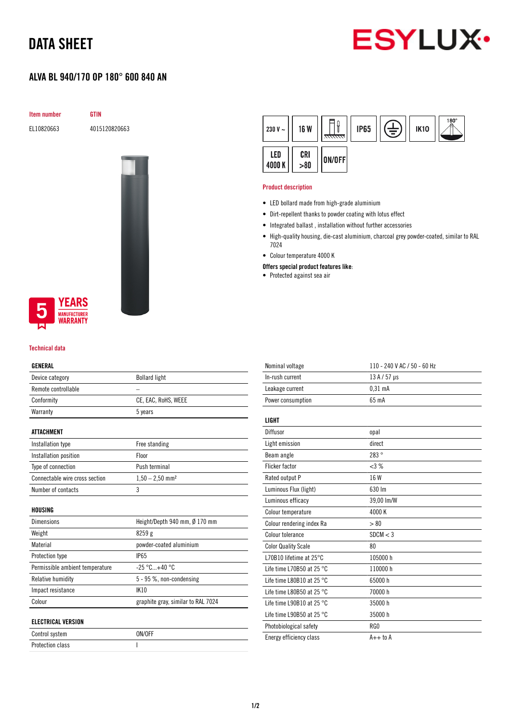# DATA SHEET

# **ESYLUX**

## ALVA BL 940/170 OP 180° 600 840 AN

Item number GTIN

EL10820663 4015120820663



### **YEARS NUFACTURER** WARRANTY

#### Technical data

#### GENERAL

| ucneral                         |                                    |  |
|---------------------------------|------------------------------------|--|
| Device category                 | <b>Bollard light</b>               |  |
| Remote controllable             |                                    |  |
| Conformity                      | CE, EAC, RoHS, WEEE                |  |
| Warranty                        | 5 years                            |  |
| <b>ATTACHMENT</b>               |                                    |  |
| Installation type               | Free standing                      |  |
| Installation position           | Floor                              |  |
| Type of connection              | Push terminal                      |  |
| Connectable wire cross section  | $1,50 - 2,50$ mm <sup>2</sup>      |  |
| Number of contacts              | 3                                  |  |
| HOUSING                         |                                    |  |
| Dimensions                      | Height/Depth 940 mm, Ø 170 mm      |  |
| Weight                          | 8259g                              |  |
| Material                        | powder-coated aluminium            |  |
| Protection type                 | <b>IP65</b>                        |  |
| Permissible ambient temperature | $-25 °C+40 °C$                     |  |
| Relative humidity               | 5 - 95 %, non-condensing           |  |
| Impact resistance               | <b>IK10</b>                        |  |
| Colour                          | graphite gray, similar to RAL 7024 |  |
| <b>ELECTRICAL VERSION</b>       |                                    |  |
| Control system                  | ON/OFF                             |  |

Protection class and a set of the set of the set of the set of the set of the set of the set of the set of the

| 230 V $\sim$ | <b>16 W</b> | ,,,,,,,,, | <b>IP65</b> | È | <b>IK10</b> | $^{180^{\circ}}$ |
|--------------|-------------|-----------|-------------|---|-------------|------------------|
| LED<br>4000K | CRI > 80    | ON/OFF    |             |   |             |                  |

#### Product description

- LED bollard made from high-grade aluminium
- Dirt-repellent thanks to powder coating with lotus effect
- Integrated ballast , installation without further accessories
- High-quality housing, die-cast aluminium, charcoal grey powder-coated, similar to RAL 7024
- Colour temperature 4000 K
- Offers special product features like:
- Protected against sea air

| Nominal voltage                     | 110 - 240 V AC / 50 - 60 Hz |
|-------------------------------------|-----------------------------|
| In-rush current                     | 13 A / 57 µs                |
| Leakage current                     | 0.31 <sub>m</sub> A         |
| Power consumption                   | 65 mA                       |
|                                     |                             |
| LIGHT                               |                             |
| Diffusor                            | opal                        |
| Light emission                      | direct                      |
| Beam angle                          | 283°                        |
| <b>Flicker factor</b>               | <3%                         |
| Rated output P                      | 16 W                        |
| Luminous Flux (light)               | 630 Im                      |
| Luminous efficacy                   | 39,00 lm/W                  |
| Colour temperature                  | 4000K                       |
| Colour rendering index Ra           | > 80                        |
| Colour tolerance                    | SDCM < 3                    |
| <b>Color Quality Scale</b>          | 80                          |
| L70B10 lifetime at 25°C             | 105000 h                    |
| Life time L70B50 at 25 $^{\circ}$ C | 110000 h                    |
| Life time L80B10 at 25 $^{\circ}$ C | 65000h                      |
| Life time L80B50 at 25 $^{\circ}$ C | 70000 h                     |
| Life time L90B10 at 25 $^{\circ}$ C | 35000 h                     |
| Life time L90B50 at 25 $^{\circ}$ C | 35000h                      |
| Photobiological safety              | RG0                         |
| Energy efficiency class             | $A++$ to $A$                |
|                                     |                             |